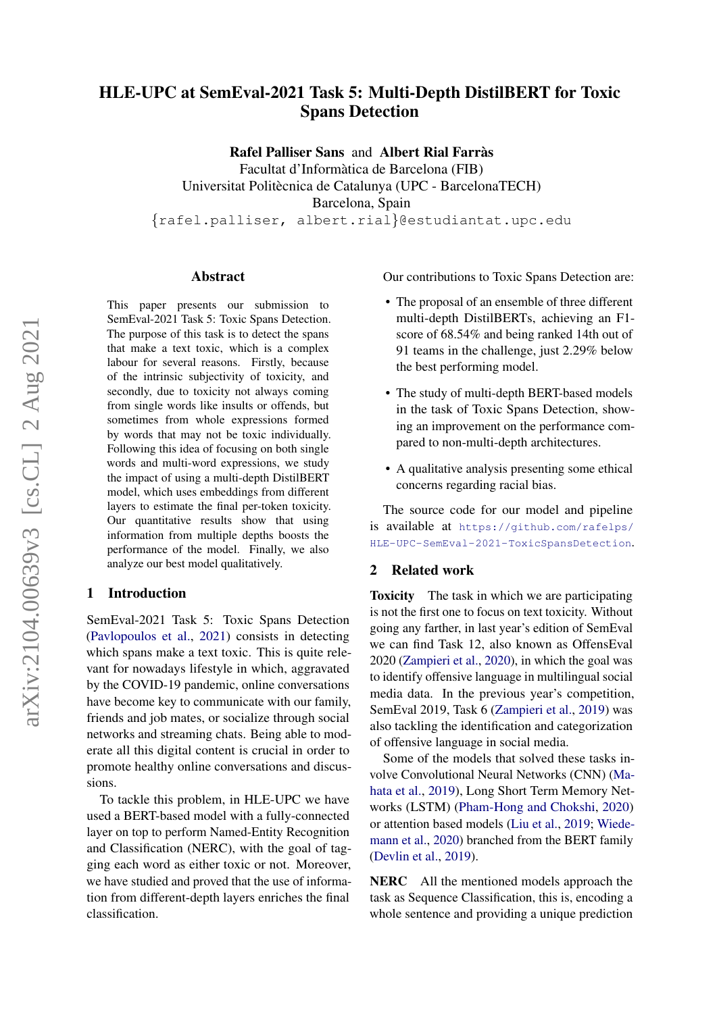# HLE-UPC at SemEval-2021 Task 5: Multi-Depth DistilBERT for Toxic Spans Detection

Rafel Palliser Sans and Albert Rial Farràs Facultat d'Informatica de Barcelona (FIB) ` Universitat Politècnica de Catalunya (UPC - BarcelonaTECH) Barcelona, Spain {rafel.palliser, albert.rial}@estudiantat.upc.edu

#### Abstract

This paper presents our submission to SemEval-2021 Task 5: Toxic Spans Detection. The purpose of this task is to detect the spans that make a text toxic, which is a complex labour for several reasons. Firstly, because of the intrinsic subjectivity of toxicity, and secondly, due to toxicity not always coming from single words like insults or offends, but sometimes from whole expressions formed by words that may not be toxic individually. Following this idea of focusing on both single words and multi-word expressions, we study the impact of using a multi-depth DistilBERT model, which uses embeddings from different layers to estimate the final per-token toxicity. Our quantitative results show that using information from multiple depths boosts the performance of the model. Finally, we also analyze our best model qualitatively.

#### 1 Introduction

SemEval-2021 Task 5: Toxic Spans Detection [\(Pavlopoulos et al.,](#page-5-0) [2021\)](#page-5-0) consists in detecting which spans make a text toxic. This is quite relevant for nowadays lifestyle in which, aggravated by the COVID-19 pandemic, online conversations have become key to communicate with our family, friends and job mates, or socialize through social networks and streaming chats. Being able to moderate all this digital content is crucial in order to promote healthy online conversations and discussions.

To tackle this problem, in HLE-UPC we have used a BERT-based model with a fully-connected layer on top to perform Named-Entity Recognition and Classification (NERC), with the goal of tagging each word as either toxic or not. Moreover, we have studied and proved that the use of information from different-depth layers enriches the final classification.

Our contributions to Toxic Spans Detection are:

- The proposal of an ensemble of three different multi-depth DistilBERTs, achieving an F1 score of 68.54% and being ranked 14th out of 91 teams in the challenge, just 2.29% below the best performing model.
- The study of multi-depth BERT-based models in the task of Toxic Spans Detection, showing an improvement on the performance compared to non-multi-depth architectures.
- A qualitative analysis presenting some ethical concerns regarding racial bias.

The source code for our model and pipeline is available at [https://github.com/rafelps/](https://github.com/rafelps/HLE-UPC-SemEval-2021-ToxicSpansDetection) [HLE-UPC-SemEval-2021-ToxicSpansDetection](https://github.com/rafelps/HLE-UPC-SemEval-2021-ToxicSpansDetection).

## 2 Related work

Toxicity The task in which we are participating is not the first one to focus on text toxicity. Without going any farther, in last year's edition of SemEval we can find Task 12, also known as OffensEval 2020 [\(Zampieri et al.,](#page-6-0) [2020\)](#page-6-0), in which the goal was to identify offensive language in multilingual social media data. In the previous year's competition, SemEval 2019, Task 6 [\(Zampieri et al.,](#page-6-1) [2019\)](#page-6-1) was also tackling the identification and categorization of offensive language in social media.

Some of the models that solved these tasks involve Convolutional Neural Networks (CNN) [\(Ma](#page-5-1)[hata et al.,](#page-5-1) [2019\)](#page-5-1), Long Short Term Memory Networks (LSTM) [\(Pham-Hong and Chokshi,](#page-5-2) [2020\)](#page-5-2) or attention based models [\(Liu et al.,](#page-5-3) [2019;](#page-5-3) [Wiede](#page-6-2)[mann et al.,](#page-6-2) [2020\)](#page-6-2) branched from the BERT family [\(Devlin et al.,](#page-5-4) [2019\)](#page-5-4).

NERC All the mentioned models approach the task as Sequence Classification, this is, encoding a whole sentence and providing a unique prediction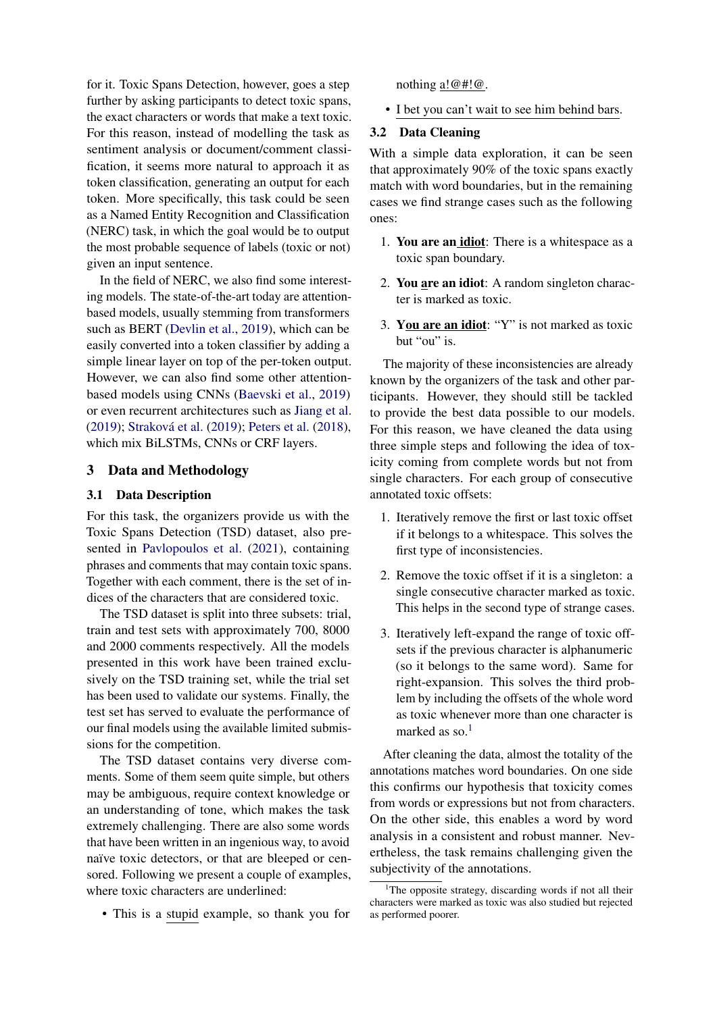for it. Toxic Spans Detection, however, goes a step further by asking participants to detect toxic spans, the exact characters or words that make a text toxic. For this reason, instead of modelling the task as sentiment analysis or document/comment classification, it seems more natural to approach it as token classification, generating an output for each token. More specifically, this task could be seen as a Named Entity Recognition and Classification (NERC) task, in which the goal would be to output the most probable sequence of labels (toxic or not) given an input sentence.

In the field of NERC, we also find some interesting models. The state-of-the-art today are attentionbased models, usually stemming from transformers such as BERT [\(Devlin et al.,](#page-5-4) [2019\)](#page-5-4), which can be easily converted into a token classifier by adding a simple linear layer on top of the per-token output. However, we can also find some other attentionbased models using CNNs [\(Baevski et al.,](#page-5-5) [2019\)](#page-5-5) or even recurrent architectures such as [Jiang et al.](#page-5-6) [\(2019\)](#page-5-7); Straková et al. (2019); [Peters et al.](#page-5-8) [\(2018\)](#page-5-8), which mix BiLSTMs, CNNs or CRF layers.

# <span id="page-1-1"></span>3 Data and Methodology

## 3.1 Data Description

For this task, the organizers provide us with the Toxic Spans Detection (TSD) dataset, also presented in [Pavlopoulos et al.](#page-5-0) [\(2021\)](#page-5-0), containing phrases and comments that may contain toxic spans. Together with each comment, there is the set of indices of the characters that are considered toxic.

The TSD dataset is split into three subsets: trial, train and test sets with approximately 700, 8000 and 2000 comments respectively. All the models presented in this work have been trained exclusively on the TSD training set, while the trial set has been used to validate our systems. Finally, the test set has served to evaluate the performance of our final models using the available limited submissions for the competition.

The TSD dataset contains very diverse comments. Some of them seem quite simple, but others may be ambiguous, require context knowledge or an understanding of tone, which makes the task extremely challenging. There are also some words that have been written in an ingenious way, to avoid naïve toxic detectors, or that are bleeped or censored. Following we present a couple of examples, where toxic characters are underlined:

• This is a stupid example, so thank you for

nothing a!@#!@.

• I bet you can't wait to see him behind bars.

# 3.2 Data Cleaning

With a simple data exploration, it can be seen that approximately 90% of the toxic spans exactly match with word boundaries, but in the remaining cases we find strange cases such as the following ones:

- 1. You are an idiot: There is a whitespace as a toxic span boundary.
- 2. You are an idiot: A random singleton character is marked as toxic.
- 3. You are an idiot: "Y" is not marked as toxic but "ou" is.

The majority of these inconsistencies are already known by the organizers of the task and other participants. However, they should still be tackled to provide the best data possible to our models. For this reason, we have cleaned the data using three simple steps and following the idea of toxicity coming from complete words but not from single characters. For each group of consecutive annotated toxic offsets:

- 1. Iteratively remove the first or last toxic offset if it belongs to a whitespace. This solves the first type of inconsistencies.
- 2. Remove the toxic offset if it is a singleton: a single consecutive character marked as toxic. This helps in the second type of strange cases.
- 3. Iteratively left-expand the range of toxic offsets if the previous character is alphanumeric (so it belongs to the same word). Same for right-expansion. This solves the third problem by including the offsets of the whole word as toxic whenever more than one character is marked as so. $<sup>1</sup>$  $<sup>1</sup>$  $<sup>1</sup>$ </sup>

After cleaning the data, almost the totality of the annotations matches word boundaries. On one side this confirms our hypothesis that toxicity comes from words or expressions but not from characters. On the other side, this enables a word by word analysis in a consistent and robust manner. Nevertheless, the task remains challenging given the subjectivity of the annotations.

<span id="page-1-0"></span> $1$ <sup>1</sup>The opposite strategy, discarding words if not all their characters were marked as toxic was also studied but rejected as performed poorer.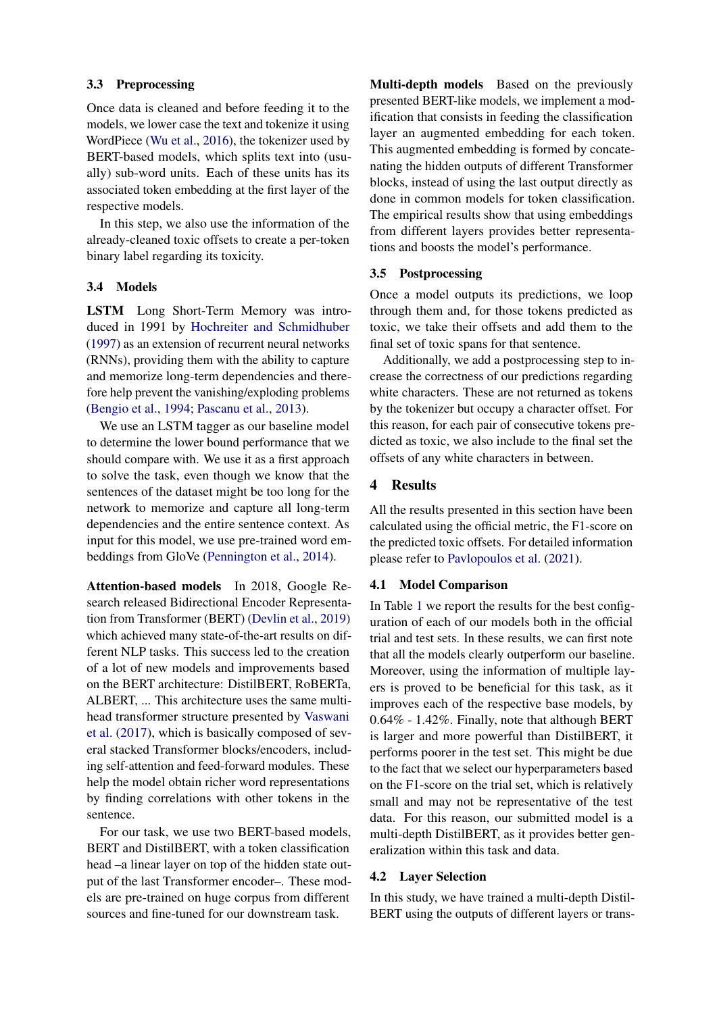## 3.3 Preprocessing

Once data is cleaned and before feeding it to the models, we lower case the text and tokenize it using WordPiece [\(Wu et al.,](#page-6-3) [2016\)](#page-6-3), the tokenizer used by BERT-based models, which splits text into (usually) sub-word units. Each of these units has its associated token embedding at the first layer of the respective models.

In this step, we also use the information of the already-cleaned toxic offsets to create a per-token binary label regarding its toxicity.

## 3.4 Models

LSTM Long Short-Term Memory was introduced in 1991 by [Hochreiter and Schmidhuber](#page-5-9) [\(1997\)](#page-5-9) as an extension of recurrent neural networks (RNNs), providing them with the ability to capture and memorize long-term dependencies and therefore help prevent the vanishing/exploding problems [\(Bengio et al.,](#page-5-10) [1994;](#page-5-10) [Pascanu et al.,](#page-5-11) [2013\)](#page-5-11).

We use an LSTM tagger as our baseline model to determine the lower bound performance that we should compare with. We use it as a first approach to solve the task, even though we know that the sentences of the dataset might be too long for the network to memorize and capture all long-term dependencies and the entire sentence context. As input for this model, we use pre-trained word embeddings from GloVe [\(Pennington et al.,](#page-5-12) [2014\)](#page-5-12).

Attention-based models In 2018, Google Research released Bidirectional Encoder Representation from Transformer (BERT) [\(Devlin et al.,](#page-5-4) [2019\)](#page-5-4) which achieved many state-of-the-art results on different NLP tasks. This success led to the creation of a lot of new models and improvements based on the BERT architecture: DistilBERT, RoBERTa, ALBERT, ... This architecture uses the same multihead transformer structure presented by [Vaswani](#page-6-4) [et al.](#page-6-4) [\(2017\)](#page-6-4), which is basically composed of several stacked Transformer blocks/encoders, including self-attention and feed-forward modules. These help the model obtain richer word representations by finding correlations with other tokens in the sentence.

For our task, we use two BERT-based models, BERT and DistilBERT, with a token classification head –a linear layer on top of the hidden state output of the last Transformer encoder–. These models are pre-trained on huge corpus from different sources and fine-tuned for our downstream task.

Multi-depth models Based on the previously presented BERT-like models, we implement a modification that consists in feeding the classification layer an augmented embedding for each token. This augmented embedding is formed by concatenating the hidden outputs of different Transformer blocks, instead of using the last output directly as done in common models for token classification. The empirical results show that using embeddings from different layers provides better representations and boosts the model's performance.

## 3.5 Postprocessing

Once a model outputs its predictions, we loop through them and, for those tokens predicted as toxic, we take their offsets and add them to the final set of toxic spans for that sentence.

Additionally, we add a postprocessing step to increase the correctness of our predictions regarding white characters. These are not returned as tokens by the tokenizer but occupy a character offset. For this reason, for each pair of consecutive tokens predicted as toxic, we also include to the final set the offsets of any white characters in between.

## 4 Results

All the results presented in this section have been calculated using the official metric, the F1-score on the predicted toxic offsets. For detailed information please refer to [Pavlopoulos et al.](#page-5-0) [\(2021\)](#page-5-0).

## 4.1 Model Comparison

In Table [1](#page-3-0) we report the results for the best configuration of each of our models both in the official trial and test sets. In these results, we can first note that all the models clearly outperform our baseline. Moreover, using the information of multiple layers is proved to be beneficial for this task, as it improves each of the respective base models, by 0.64% - 1.42%. Finally, note that although BERT is larger and more powerful than DistilBERT, it performs poorer in the test set. This might be due to the fact that we select our hyperparameters based on the F1-score on the trial set, which is relatively small and may not be representative of the test data. For this reason, our submitted model is a multi-depth DistilBERT, as it provides better generalization within this task and data.

#### 4.2 Layer Selection

In this study, we have trained a multi-depth Distil-BERT using the outputs of different layers or trans-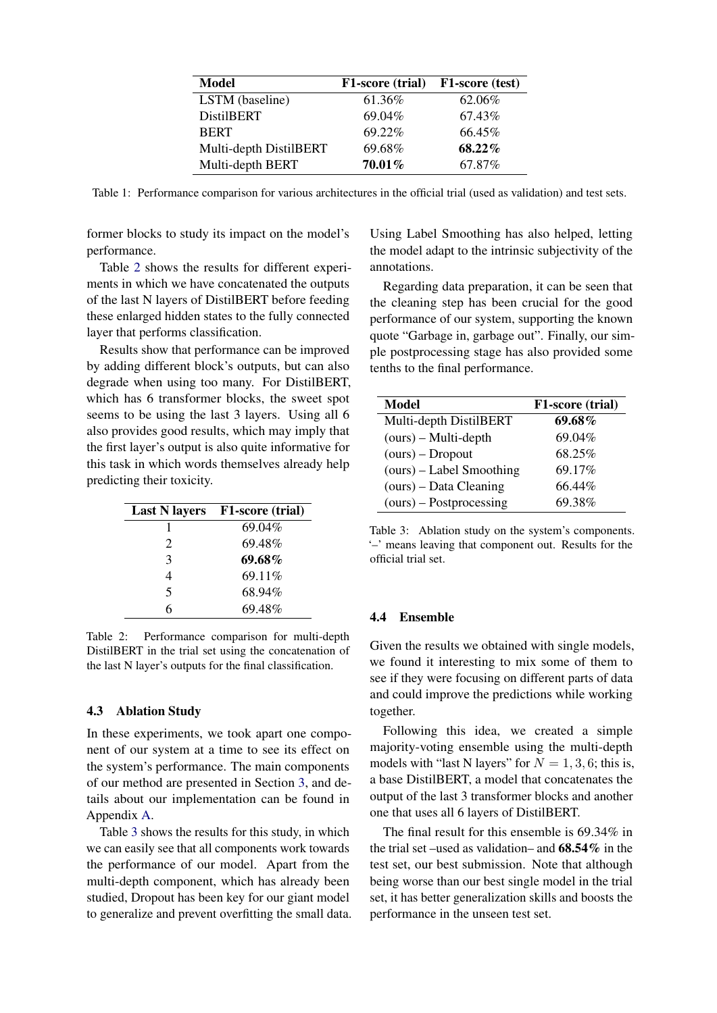<span id="page-3-0"></span>

| Model                  | <b>F1-score (trial)</b> | F1-score (test) |
|------------------------|-------------------------|-----------------|
| LSTM (baseline)        | 61.36%                  | 62.06%          |
| <b>DistilBERT</b>      | 69.04%                  | 67.43%          |
| <b>BERT</b>            | 69.22%                  | 66.45%          |
| Multi-depth DistilBERT | 69.68%                  | 68.22%          |
| Multi-depth BERT       | 70.01%                  | 67.87%          |

Table 1: Performance comparison for various architectures in the official trial (used as validation) and test sets.

former blocks to study its impact on the model's performance.

Table [2](#page-3-1) shows the results for different experiments in which we have concatenated the outputs of the last N layers of DistilBERT before feeding these enlarged hidden states to the fully connected layer that performs classification.

Results show that performance can be improved by adding different block's outputs, but can also degrade when using too many. For DistilBERT, which has 6 transformer blocks, the sweet spot seems to be using the last 3 layers. Using all 6 also provides good results, which may imply that the first layer's output is also quite informative for this task in which words themselves already help predicting their toxicity.

<span id="page-3-1"></span>

|               | Last N layers F1-score (trial) |
|---------------|--------------------------------|
|               | 69.04%                         |
| 2             | 69.48%                         |
| $\mathcal{R}$ | 69.68%                         |
| 4             | 69.11%                         |
| 5             | 68.94%                         |
| <i>6</i>      | 69.48%                         |

Table 2: Performance comparison for multi-depth DistilBERT in the trial set using the concatenation of the last N layer's outputs for the final classification.

## <span id="page-3-3"></span>4.3 Ablation Study

In these experiments, we took apart one component of our system at a time to see its effect on the system's performance. The main components of our method are presented in Section [3,](#page-1-1) and details about our implementation can be found in Appendix [A.](#page-6-5)

Table [3](#page-3-2) shows the results for this study, in which we can easily see that all components work towards the performance of our model. Apart from the multi-depth component, which has already been studied, Dropout has been key for our giant model to generalize and prevent overfitting the small data. Using Label Smoothing has also helped, letting the model adapt to the intrinsic subjectivity of the annotations.

Regarding data preparation, it can be seen that the cleaning step has been crucial for the good performance of our system, supporting the known quote "Garbage in, garbage out". Finally, our simple postprocessing stage has also provided some tenths to the final performance.

<span id="page-3-2"></span>

| Model                     | F1-score (trial) |
|---------------------------|------------------|
| Multi-depth DistilBERT    | 69.68%           |
| $(ours) - Multi-depth$    | 69.04%           |
| $(ours) - Dropout$        | 68.25%           |
| (ours) – Label Smoothing  | 69.17%           |
| $(ours)$ – Data Cleaning  | 66.44%           |
| $(ours) - Postprocessing$ | 69.38%           |

Table 3: Ablation study on the system's components. '–' means leaving that component out. Results for the official trial set.

#### 4.4 Ensemble

Given the results we obtained with single models, we found it interesting to mix some of them to see if they were focusing on different parts of data and could improve the predictions while working together.

Following this idea, we created a simple majority-voting ensemble using the multi-depth models with "last N layers" for  $N = 1, 3, 6$ ; this is, a base DistilBERT, a model that concatenates the output of the last 3 transformer blocks and another one that uses all 6 layers of DistilBERT.

The final result for this ensemble is 69.34% in the trial set –used as validation– and  $68.54\%$  in the test set, our best submission. Note that although being worse than our best single model in the trial set, it has better generalization skills and boosts the performance in the unseen test set.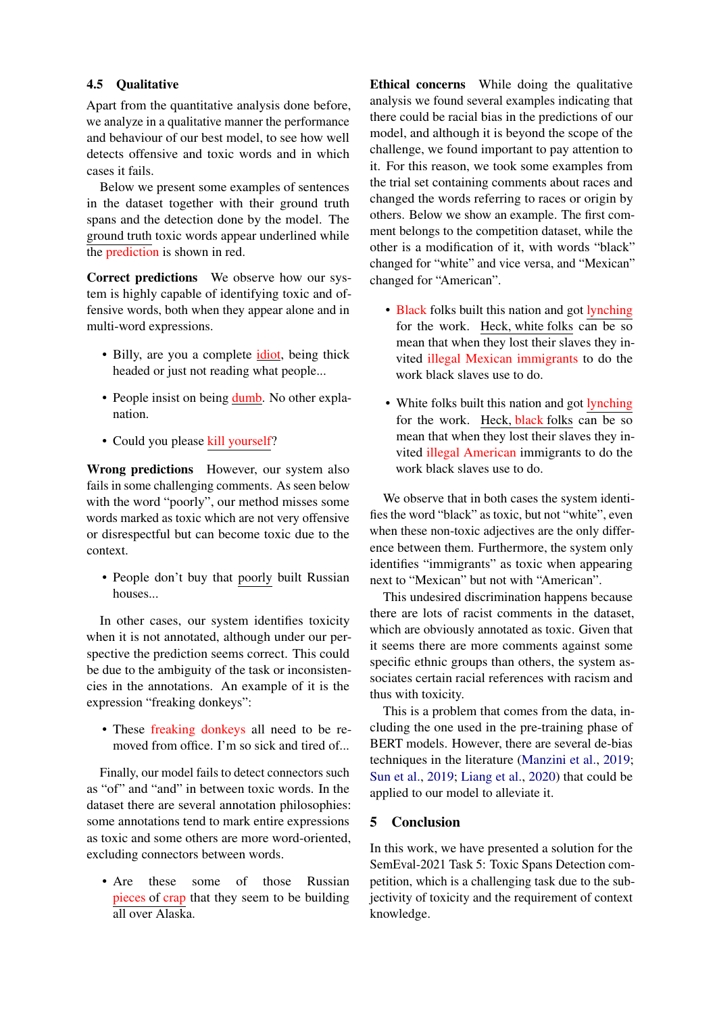# 4.5 Qualitative

Apart from the quantitative analysis done before, we analyze in a qualitative manner the performance and behaviour of our best model, to see how well detects offensive and toxic words and in which cases it fails.

Below we present some examples of sentences in the dataset together with their ground truth spans and the detection done by the model. The ground truth toxic words appear underlined while the prediction is shown in red.

Correct predictions We observe how our system is highly capable of identifying toxic and offensive words, both when they appear alone and in multi-word expressions.

- Billy, are you a complete *idiot*, being thick headed or just not reading what people...
- People insist on being dumb. No other explanation.
- Could you please kill yourself?

Wrong predictions However, our system also fails in some challenging comments. As seen below with the word "poorly", our method misses some words marked as toxic which are not very offensive or disrespectful but can become toxic due to the context.

• People don't buy that poorly built Russian houses...

In other cases, our system identifies toxicity when it is not annotated, although under our perspective the prediction seems correct. This could be due to the ambiguity of the task or inconsistencies in the annotations. An example of it is the expression "freaking donkeys":

• These freaking donkeys all need to be removed from office. I'm so sick and tired of...

Finally, our model fails to detect connectors such as "of" and "and" in between toxic words. In the dataset there are several annotation philosophies: some annotations tend to mark entire expressions as toxic and some others are more word-oriented, excluding connectors between words.

• Are these some of those Russian pieces of crap that they seem to be building all over Alaska.

Ethical concerns While doing the qualitative analysis we found several examples indicating that there could be racial bias in the predictions of our model, and although it is beyond the scope of the challenge, we found important to pay attention to it. For this reason, we took some examples from the trial set containing comments about races and changed the words referring to races or origin by others. Below we show an example. The first comment belongs to the competition dataset, while the other is a modification of it, with words "black" changed for "white" and vice versa, and "Mexican" changed for "American".

- Black folks built this nation and got lynching for the work. Heck, white folks can be so mean that when they lost their slaves they invited illegal Mexican immigrants to do the work black slaves use to do.
- White folks built this nation and got lynching for the work. Heck, black folks can be so mean that when they lost their slaves they invited illegal American immigrants to do the work black slaves use to do.

We observe that in both cases the system identifies the word "black" as toxic, but not "white", even when these non-toxic adjectives are the only difference between them. Furthermore, the system only identifies "immigrants" as toxic when appearing next to "Mexican" but not with "American".

This undesired discrimination happens because there are lots of racist comments in the dataset, which are obviously annotated as toxic. Given that it seems there are more comments against some specific ethnic groups than others, the system associates certain racial references with racism and thus with toxicity.

This is a problem that comes from the data, including the one used in the pre-training phase of BERT models. However, there are several de-bias techniques in the literature [\(Manzini et al.,](#page-5-13) [2019;](#page-5-13) [Sun et al.,](#page-5-14) [2019;](#page-5-14) [Liang et al.,](#page-5-15) [2020\)](#page-5-15) that could be applied to our model to alleviate it.

# 5 Conclusion

In this work, we have presented a solution for the SemEval-2021 Task 5: Toxic Spans Detection competition, which is a challenging task due to the subjectivity of toxicity and the requirement of context knowledge.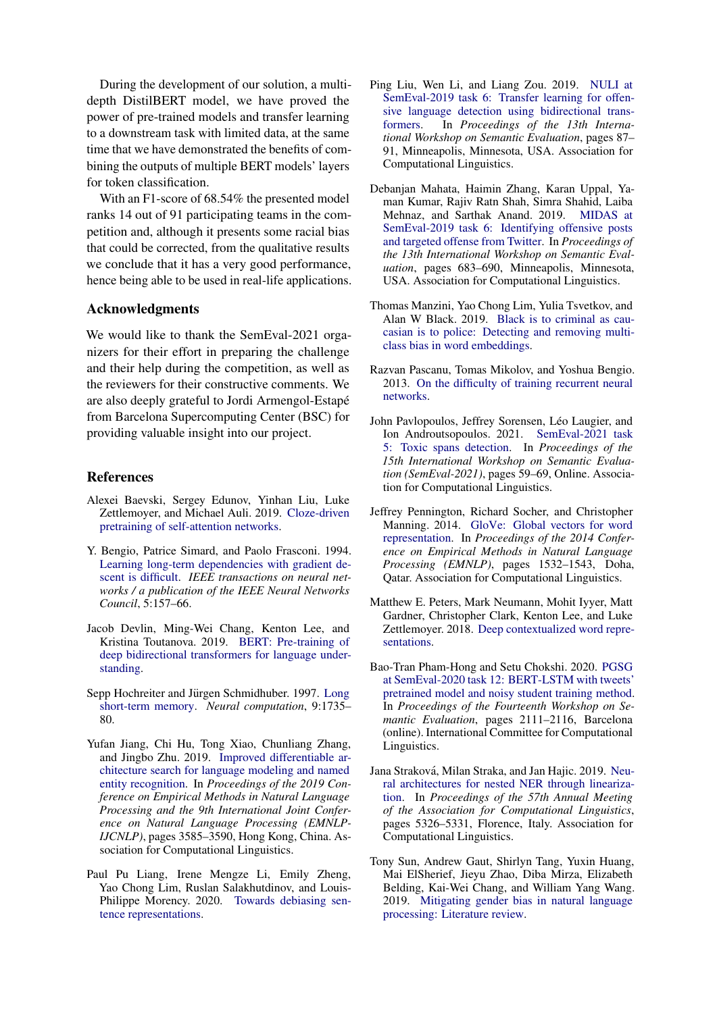During the development of our solution, a multidepth DistilBERT model, we have proved the power of pre-trained models and transfer learning to a downstream task with limited data, at the same time that we have demonstrated the benefits of combining the outputs of multiple BERT models' layers for token classification.

With an F1-score of 68.54% the presented model ranks 14 out of 91 participating teams in the competition and, although it presents some racial bias that could be corrected, from the qualitative results we conclude that it has a very good performance, hence being able to be used in real-life applications.

## Acknowledgments

We would like to thank the SemEval-2021 organizers for their effort in preparing the challenge and their help during the competition, as well as the reviewers for their constructive comments. We are also deeply grateful to Jordi Armengol-Estape´ from Barcelona Supercomputing Center (BSC) for providing valuable insight into our project.

#### References

- <span id="page-5-5"></span>Alexei Baevski, Sergey Edunov, Yinhan Liu, Luke Zettlemoyer, and Michael Auli. 2019. [Cloze-driven](http://arxiv.org/abs/1903.07785) [pretraining of self-attention networks.](http://arxiv.org/abs/1903.07785)
- <span id="page-5-10"></span>Y. Bengio, Patrice Simard, and Paolo Frasconi. 1994. [Learning long-term dependencies with gradient de](https://doi.org/10.1109/72.279181)[scent is difficult.](https://doi.org/10.1109/72.279181) *IEEE transactions on neural networks / a publication of the IEEE Neural Networks Council*, 5:157–66.
- <span id="page-5-4"></span>Jacob Devlin, Ming-Wei Chang, Kenton Lee, and Kristina Toutanova. 2019. [BERT: Pre-training of](http://arxiv.org/abs/1810.04805) [deep bidirectional transformers for language under](http://arxiv.org/abs/1810.04805)[standing.](http://arxiv.org/abs/1810.04805)
- <span id="page-5-9"></span>Sepp Hochreiter and Jürgen Schmidhuber. 1997. [Long](https://doi.org/10.1162/neco.1997.9.8.1735) [short-term memory.](https://doi.org/10.1162/neco.1997.9.8.1735) *Neural computation*, 9:1735– 80.
- <span id="page-5-6"></span>Yufan Jiang, Chi Hu, Tong Xiao, Chunliang Zhang, and Jingbo Zhu. 2019. [Improved differentiable ar](https://doi.org/10.18653/v1/D19-1367)[chitecture search for language modeling and named](https://doi.org/10.18653/v1/D19-1367) [entity recognition.](https://doi.org/10.18653/v1/D19-1367) In *Proceedings of the 2019 Conference on Empirical Methods in Natural Language Processing and the 9th International Joint Conference on Natural Language Processing (EMNLP-IJCNLP)*, pages 3585–3590, Hong Kong, China. Association for Computational Linguistics.
- <span id="page-5-15"></span>Paul Pu Liang, Irene Mengze Li, Emily Zheng, Yao Chong Lim, Ruslan Salakhutdinov, and Louis-Philippe Morency. 2020. [Towards debiasing sen](http://arxiv.org/abs/2007.08100)[tence representations.](http://arxiv.org/abs/2007.08100)
- <span id="page-5-3"></span>Ping Liu, Wen Li, and Liang Zou. 2019. [NULI at](https://doi.org/10.18653/v1/S19-2011) [SemEval-2019 task 6: Transfer learning for offen](https://doi.org/10.18653/v1/S19-2011)[sive language detection using bidirectional trans](https://doi.org/10.18653/v1/S19-2011)[formers.](https://doi.org/10.18653/v1/S19-2011) In *Proceedings of the 13th International Workshop on Semantic Evaluation*, pages 87– 91, Minneapolis, Minnesota, USA. Association for Computational Linguistics.
- <span id="page-5-1"></span>Debanjan Mahata, Haimin Zhang, Karan Uppal, Yaman Kumar, Rajiv Ratn Shah, Simra Shahid, Laiba Mehnaz, and Sarthak Anand. 2019. [MIDAS at](https://doi.org/10.18653/v1/S19-2122) [SemEval-2019 task 6: Identifying offensive posts](https://doi.org/10.18653/v1/S19-2122) [and targeted offense from Twitter.](https://doi.org/10.18653/v1/S19-2122) In *Proceedings of the 13th International Workshop on Semantic Evaluation*, pages 683–690, Minneapolis, Minnesota, USA. Association for Computational Linguistics.
- <span id="page-5-13"></span>Thomas Manzini, Yao Chong Lim, Yulia Tsvetkov, and Alan W Black. 2019. [Black is to criminal as cau](http://arxiv.org/abs/1904.04047)[casian is to police: Detecting and removing multi](http://arxiv.org/abs/1904.04047)[class bias in word embeddings.](http://arxiv.org/abs/1904.04047)
- <span id="page-5-11"></span>Razvan Pascanu, Tomas Mikolov, and Yoshua Bengio. 2013. [On the difficulty of training recurrent neural](http://arxiv.org/abs/1211.5063) [networks.](http://arxiv.org/abs/1211.5063)
- <span id="page-5-0"></span>John Pavlopoulos, Jeffrey Sorensen, Léo Laugier, and Ion Androutsopoulos. 2021. [SemEval-2021 task](https://doi.org/10.18653/v1/2021.semeval-1.6) [5: Toxic spans detection.](https://doi.org/10.18653/v1/2021.semeval-1.6) In *Proceedings of the 15th International Workshop on Semantic Evaluation (SemEval-2021)*, pages 59–69, Online. Association for Computational Linguistics.
- <span id="page-5-12"></span>Jeffrey Pennington, Richard Socher, and Christopher Manning. 2014. [GloVe: Global vectors for word](https://doi.org/10.3115/v1/D14-1162) [representation.](https://doi.org/10.3115/v1/D14-1162) In *Proceedings of the 2014 Conference on Empirical Methods in Natural Language Processing (EMNLP)*, pages 1532–1543, Doha, Qatar. Association for Computational Linguistics.
- <span id="page-5-8"></span>Matthew E. Peters, Mark Neumann, Mohit Iyyer, Matt Gardner, Christopher Clark, Kenton Lee, and Luke Zettlemoyer. 2018. [Deep contextualized word repre](http://arxiv.org/abs/1802.05365)[sentations.](http://arxiv.org/abs/1802.05365)
- <span id="page-5-2"></span>Bao-Tran Pham-Hong and Setu Chokshi. 2020. [PGSG](https://www.aclweb.org/anthology/2020.semeval-1.280) [at SemEval-2020 task 12: BERT-LSTM with tweets'](https://www.aclweb.org/anthology/2020.semeval-1.280) [pretrained model and noisy student training method.](https://www.aclweb.org/anthology/2020.semeval-1.280) In *Proceedings of the Fourteenth Workshop on Semantic Evaluation*, pages 2111–2116, Barcelona (online). International Committee for Computational Linguistics.
- <span id="page-5-7"></span>Jana Straková, Milan Straka, and Jan Hajic. 2019. [Neu](https://doi.org/10.18653/v1/P19-1527)[ral architectures for nested NER through lineariza](https://doi.org/10.18653/v1/P19-1527)[tion.](https://doi.org/10.18653/v1/P19-1527) In *Proceedings of the 57th Annual Meeting of the Association for Computational Linguistics*, pages 5326–5331, Florence, Italy. Association for Computational Linguistics.
- <span id="page-5-14"></span>Tony Sun, Andrew Gaut, Shirlyn Tang, Yuxin Huang, Mai ElSherief, Jieyu Zhao, Diba Mirza, Elizabeth Belding, Kai-Wei Chang, and William Yang Wang. 2019. [Mitigating gender bias in natural language](http://arxiv.org/abs/1906.08976) [processing: Literature review.](http://arxiv.org/abs/1906.08976)